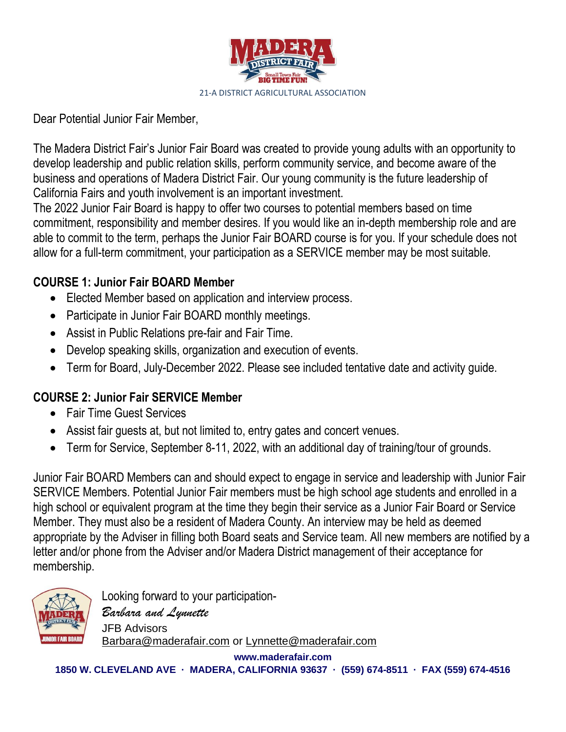

Dear Potential Junior Fair Member,

The Madera District Fair's Junior Fair Board was created to provide young adults with an opportunity to develop leadership and public relation skills, perform community service, and become aware of the business and operations of Madera District Fair. Our young community is the future leadership of California Fairs and youth involvement is an important investment.

The 2022 Junior Fair Board is happy to offer two courses to potential members based on time commitment, responsibility and member desires. If you would like an in-depth membership role and are able to commit to the term, perhaps the Junior Fair BOARD course is for you. If your schedule does not allow for a full-term commitment, your participation as a SERVICE member may be most suitable.

### **COURSE 1: Junior Fair BOARD Member**

- Elected Member based on application and interview process.
- Participate in Junior Fair BOARD monthly meetings.
- Assist in Public Relations pre-fair and Fair Time.
- Develop speaking skills, organization and execution of events.
- Term for Board, July-December 2022. Please see included tentative date and activity guide.

## **COURSE 2: Junior Fair SERVICE Member**

- Fair Time Guest Services
- Assist fair guests at, but not limited to, entry gates and concert venues.
- Term for Service, September 8-11, 2022, with an additional day of training/tour of grounds.

Junior Fair BOARD Members can and should expect to engage in service and leadership with Junior Fair SERVICE Members. Potential Junior Fair members must be high school age students and enrolled in a high school or equivalent program at the time they begin their service as a Junior Fair Board or Service Member. They must also be a resident of Madera County. An interview may be held as deemed appropriate by the Adviser in filling both Board seats and Service team. All new members are notified by a letter and/or phone from the Adviser and/or Madera District management of their acceptance for membership.



Looking forward to your participation-*Barbara and Lynnette* JFB Advisors [Barbara@maderafair.com](mailto:Barbara@maderafair.com) or Lynnette@maderafair.com

**www.maderafair.com 1850 W. CLEVELAND AVE · MADERA, CALIFORNIA 93637 · (559) 674-8511 · FAX (559) 674-4516**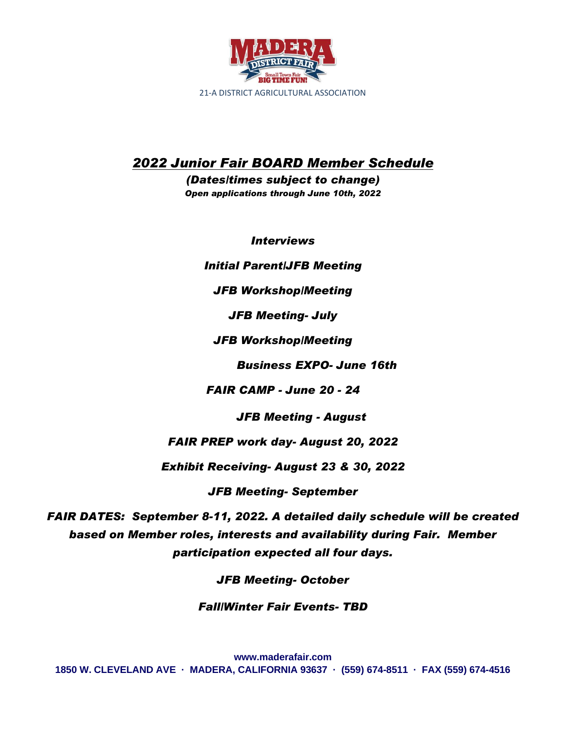

# *2022 Junior Fair BOARD Member Schedule*

*(Dates/times subject to change) Open applications through June 10th, 2022*

*Interviews*

*Initial Parent/JFB Meeting*

*JFB Workshop/Meeting*

*JFB Meeting- July*

*JFB Workshop/Meeting*

 *Business EXPO- June 16th*

*FAIR CAMP - June 20 - 24*

 *JFB Meeting - August*

*FAIR PREP work day- August 20, 2022*

*Exhibit Receiving- August 23 & 30, 2022*

*JFB Meeting- September* 

*FAIR DATES: September 8-11, 2022. A detailed daily schedule will be created based on Member roles, interests and availability during Fair. Member participation expected all four days.*

*JFB Meeting- October* 

*Fall/Winter Fair Events- TBD*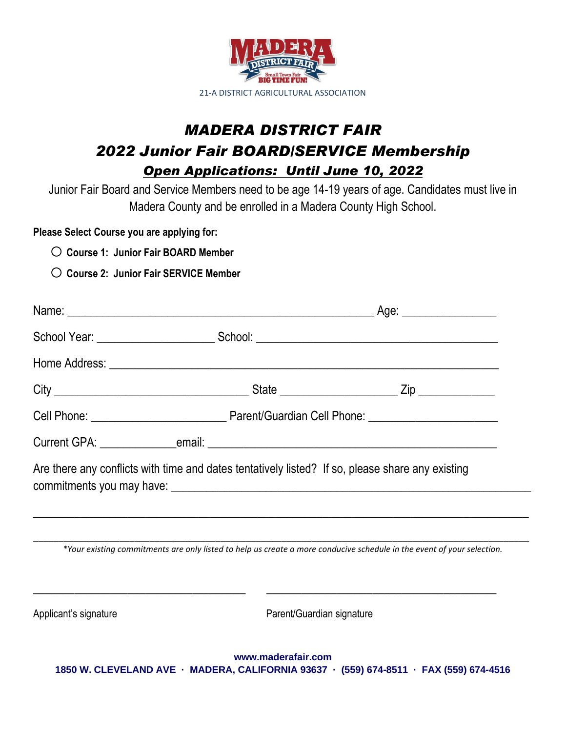

# *MADERA DISTRICT FAIR 2022 Junior Fair BOARD/SERVICE Membership Open Applications: Until June 10, 2022*

Junior Fair Board and Service Members need to be age 14-19 years of age. Candidates must live in Madera County and be enrolled in a Madera County High School.

**Please Select Course you are applying for:**

- o **Course 1: Junior Fair BOARD Member**
- o **Course 2: Junior Fair SERVICE Member**

|                       |                           | Are there any conflicts with time and dates tentatively listed? If so, please share any existing                       |  |  |
|-----------------------|---------------------------|------------------------------------------------------------------------------------------------------------------------|--|--|
|                       |                           | *Your existing commitments are only listed to help us create a more conducive schedule in the event of your selection. |  |  |
| Applicant's signature | Parent/Guardian signature |                                                                                                                        |  |  |
|                       |                           |                                                                                                                        |  |  |

**www.maderafair.com 1850 W. CLEVELAND AVE · MADERA, CALIFORNIA 93637 · (559) 674-8511 · FAX (559) 674-4516**